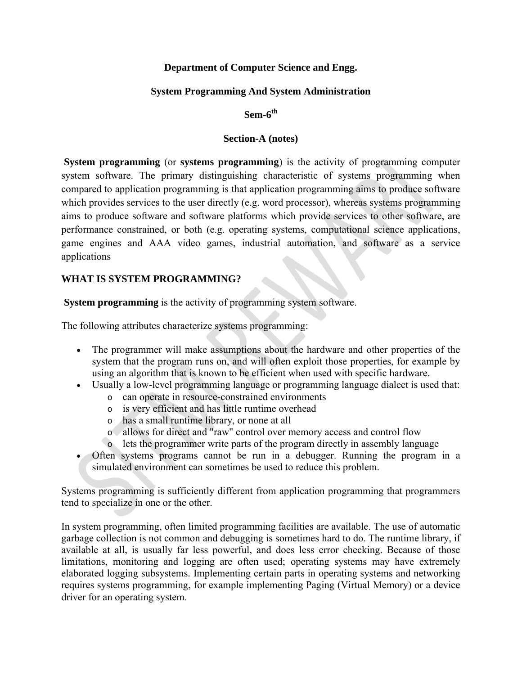## **Department of Computer Science and Engg.**

## **System Programming And System Administration**

## **Sem-6th**

#### **Section-A (notes)**

**System programming** (or **systems programming**) is the activity of [programming](https://en.wikipedia.org/wiki/Computer_programming) [computer](https://en.wikipedia.org/wiki/Computer) [system software.](https://en.wikipedia.org/wiki/System_software) The primary distinguishing characteristic of systems programming when compared to [application programming](https://en.wikipedia.org/wiki/Application_programming) is that application programming aims to produce software which provides services to the user directly (e.g. [word processor\)](https://en.wikipedia.org/wiki/Word_processor), whereas systems programming aims to produce software and [software platforms](https://en.wikipedia.org/wiki/Software_platform) which provide services to other software, are performance constrained, or both (e.g. [operating systems,](https://en.wikipedia.org/wiki/Operating_system) [computational science](https://en.wikipedia.org/wiki/Computational_science) applications, [game engines](https://en.wikipedia.org/wiki/Game_engine) and [AAA video games,](https://en.wikipedia.org/wiki/AAA_(video_game_industry)) [industrial automation,](https://en.wikipedia.org/wiki/Automation#Industrial_automation) and [software as a service](https://en.wikipedia.org/wiki/Software_as_a_service) applications

## **WHAT IS SYSTEM PROGRAMMING?**

**System programming** is the activity of programming system software.

The following attributes characterize systems programming:

- The [programmer](https://en.wikipedia.org/wiki/Programmer) will make assumptions about the hardware and other properties of the system that the program runs on, and will often exploit those properties, for example by using an [algorithm](https://en.wikipedia.org/wiki/Algorithm) that is known to be efficient when used with specific hardware.
- Usually a [low-level programming language](https://en.wikipedia.org/wiki/Low-level_programming_language) or programming language dialect is used that:
	- o can operate in resource-constrained environments
	- o is very efficient and has little [runtime](https://en.wikipedia.org/wiki/Run-time_system) overhead
	- o has a small [runtime library,](https://en.wikipedia.org/wiki/Runtime_library) or none at all
	- o allows for direct and "raw" control over memory access and [control flow](https://en.wikipedia.org/wiki/Control_flow)
	- o lets the programmer write parts of the program directly in [assembly language](https://en.wikipedia.org/wiki/Assembly_language)
- ∑ Often systems programs cannot be run in a [debugger.](https://en.wikipedia.org/wiki/Debugger) Running the program in a [simulated environment](https://en.wikipedia.org/wiki/Computer_simulation) can sometimes be used to reduce this problem.

Systems programming is sufficiently different from application programming that programmers tend to specialize in one or the other.

In system programming, often limited programming facilities are available. The use of [automatic](https://en.wikipedia.org/wiki/Garbage_collection_(computer_science))  [garbage collection](https://en.wikipedia.org/wiki/Garbage_collection_(computer_science)) is not common and [debugging](https://en.wikipedia.org/wiki/Debugging) is sometimes hard to do. The [runtime library,](https://en.wikipedia.org/wiki/Runtime_library) if available at all, is usually far less powerful, and does less error checking. Because of those limitations, [monitoring](https://en.wikipedia.org/wiki/System_monitoring) and [logging](https://en.wikipedia.org/wiki/Data_logging) are often used; [operating systems](https://en.wikipedia.org/wiki/Operating_system) may have extremely elaborated logging subsystems. Implementing certain parts in operating systems and networking requires systems programming, for example implementing Paging [\(Virtual Memory\)](https://en.wikipedia.org/wiki/Virtual_Memory) or a [device](https://en.wikipedia.org/wiki/Device_driver)  [driver](https://en.wikipedia.org/wiki/Device_driver) for an operating system.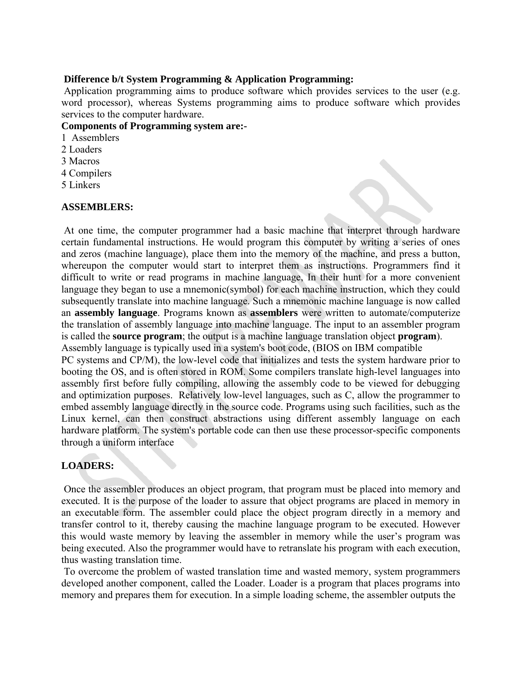#### **Difference b/t System Programming & Application Programming:**

Application programming aims to produce software which provides services to the user (e.g. word processor), whereas Systems programming aims to produce software which provides services to the computer hardware.

## **Components of Programming system are:-**

- 1 Assemblers
- 2 Loaders
- 3 Macros
- 4 Compilers
- 5 Linkers

#### **ASSEMBLERS:**

At one time, the computer programmer had a basic machine that interpret through hardware certain fundamental instructions. He would program this computer by writing a series of ones and zeros (machine language), place them into the memory of the machine, and press a button, whereupon the computer would start to interpret them as instructions. Programmers find it difficult to write or read programs in machine language, In their hunt for a more convenient language they began to use a mnemonic(symbol) for each machine instruction, which they could subsequently translate into machine language. Such a mnemonic machine language is now called an **assembly language**. Programs known as **assemblers** were written to automate/computerize the translation of assembly language into machine language. The input to an assembler program is called the **source program**; the output is a machine language translation object **program**). Assembly language is typically used in a system's boot code, (BIOS on IBM compatible PC systems and CP/M), the low-level code that initializes and tests the system hardware prior to booting the OS, and is often stored in ROM. Some compilers translate high-level languages into assembly first before fully compiling, allowing the assembly code to be viewed for debugging and optimization purposes. Relatively low-level languages, such as C, allow the programmer to embed assembly language directly in the source code. Programs using such facilities, such as the Linux kernel, can then construct abstractions using different assembly language on each hardware platform. The system's portable code can then use these processor-specific components through a uniform interface

## **LOADERS:**

Once the assembler produces an object program, that program must be placed into memory and executed. It is the purpose of the loader to assure that object programs are placed in memory in an executable form. The assembler could place the object program directly in a memory and transfer control to it, thereby causing the machine language program to be executed. However this would waste memory by leaving the assembler in memory while the user's program was being executed. Also the programmer would have to retranslate his program with each execution, thus wasting translation time.

To overcome the problem of wasted translation time and wasted memory, system programmers developed another component, called the Loader. Loader is a program that places programs into memory and prepares them for execution. In a simple loading scheme, the assembler outputs the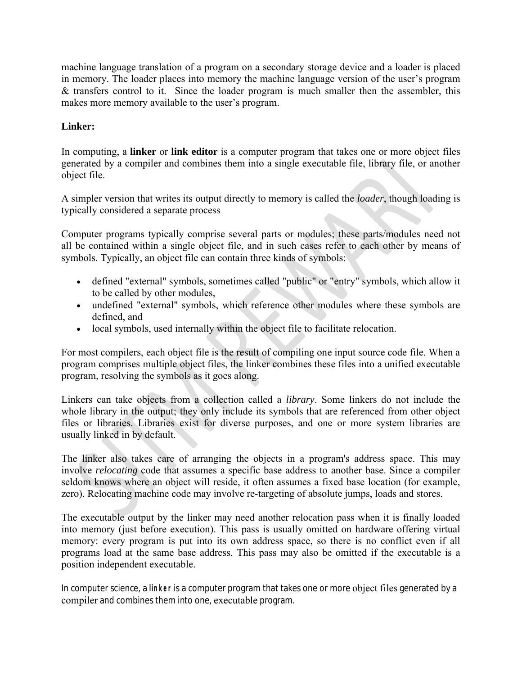machine language translation of a program on a secondary storage device and a loader is placed in memory. The loader places into memory the machine language version of the user's program & transfers control to it. Since the loader program is much smaller then the assembler, this makes more memory available to the user's program.

# **Linker:**

In [computing,](https://en.wikipedia.org/wiki/Computing) a **linker** or **link editor** is a [computer program](https://en.wikipedia.org/wiki/Computer_program) that takes one or more [object files](https://en.wikipedia.org/wiki/Object_file) generated by a [compiler](https://en.wikipedia.org/wiki/Compiler) and combines them into a single [executable](https://en.wikipedia.org/wiki/Executable) file, [library](https://en.wikipedia.org/wiki/Library_(computing)) file, or another object file.

A simpler version that writes its output directly to memory is called the *loader*, though [loading](https://en.wikipedia.org/wiki/Loader_(computing)) is typically considered a separate process

Computer programs typically comprise several parts or modules; these parts/modules need not all be contained within a single [object file,](https://en.wikipedia.org/wiki/Object_file) and in such cases refer to each other by means of [symbols.](https://en.wikipedia.org/wiki/Debug_symbol) Typically, an object file can contain three kinds of symbols:

- defined "external" symbols, sometimes called "public" or "entry" symbols, which allow it to be called by other modules,
- undefined "external" symbols, which reference other modules where these symbols are defined, and
- local symbols, used internally within the object file to facilitate [relocation.](https://en.wikipedia.org/wiki/Relocation_(computer_science))

For most compilers, each object file is the result of compiling one input source code file. When a program comprises multiple object files, the linker combines these files into a unified executable program, resolving the symbols as it goes along.

Linkers can take objects from a collection called a *[library](https://en.wikipedia.org/wiki/Library_(computing))*. Some linkers do not include the whole library in the output; they only include its symbols that are referenced from other object files or libraries. Libraries exist for diverse purposes, and one or more system libraries are usually linked in by default.

The linker also takes care of arranging the objects in a program's [address space.](https://en.wikipedia.org/wiki/Address_space) This may involve *relocating* code that assumes a specific [base address](https://en.wikipedia.org/wiki/Base_address) to another base. Since a compiler seldom knows where an object will reside, it often assumes a fixed base location (for example, zero). Relocating machine code may involve re-targeting of absolute jumps, loads and stores.

The executable output by the linker may need another relocation pass when it is finally loaded into memory (just before execution). This pass is usually omitted on [hardware](https://en.wikipedia.org/wiki/Computer_hardware) offering [virtual](https://en.wikipedia.org/wiki/Virtual_memory)  [memory:](https://en.wikipedia.org/wiki/Virtual_memory) every program is put into its own address space, so there is no conflict even if all programs load at the same base address. This pass may also be omitted if the executable is a [position independent](https://en.wikipedia.org/wiki/Position_independent) executable.

In computer science, a **linker** is a computer program that takes one or more [object files](http://www.computerhope.com/jargon/o/objefile.htm) generated by a [compiler](http://www.computerhope.com/jargon/c/compile.htm) and combines them into one, [executable](http://www.computerhope.com/jargon/e/execfile.htm) program.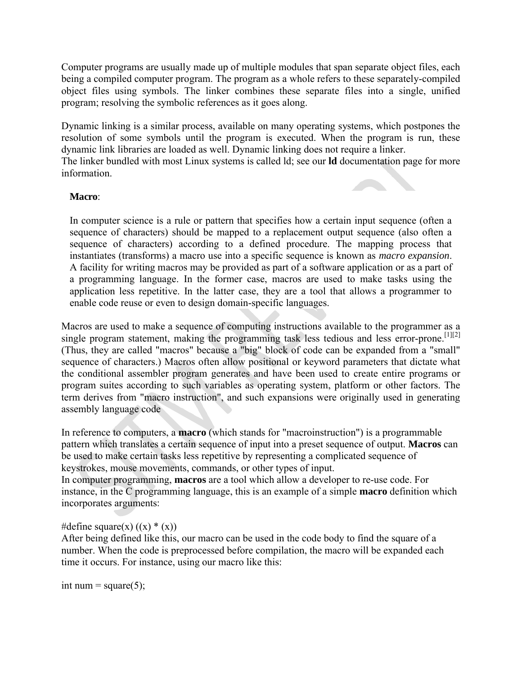Computer programs are usually made up of multiple [modules](http://www.computerhope.com/jargon/m/module.htm) that span separate object files, each being a compiled computer program. The program as a whole refers to these separately-compiled object files using symbols. The linker combines these separate files into a single, unified program; resolving the symbolic references as it goes along.

Dynamic linking is a similar process, available on many operating systems, which postpones the resolution of some symbols until the program is executed. When the program is run, these [dynamic link libraries](http://www.computerhope.com/jargon/d/dll.htm) are loaded as well. Dynamic linking does not require a linker. The linker bundled with most [Linux](http://www.computerhope.com/jargon/l/linux.htm) systems is called ld; see our **ld** [documentation page](http://www.computerhope.com/unix/uld.htm) for more

## **Macro**:

information.

In [computer science](https://en.wikipedia.org/wiki/Computer_science) is a rule or [pattern](https://en.wikipedia.org/wiki/Pattern) that specifies how a certain input sequence (often a sequence of [characters\)](https://en.wikipedia.org/wiki/Character_(computing)) should be mapped to a replacement output sequence (also often a sequence of characters) according to a defined procedure. The mapping process that instantiates (transforms) a macro use into a specific sequence is known as *macro expansion*. A facility for writing macros may be provided as part of a [software application](https://en.wikipedia.org/wiki/Software_application) or as a part of a [programming language.](https://en.wikipedia.org/wiki/Programming_language) In the former case, macros are used to make tasks using the application less repetitive. In the latter case, they are a tool that allows a programmer to enable [code reuse](https://en.wikipedia.org/wiki/Code_reuse) or even to design [domain-specific languages.](https://en.wikipedia.org/wiki/Domain-specific_languages)

Macros are used to make a sequence of computing instructions available to the [programmer](https://en.wikipedia.org/wiki/Computer_programming) as a single program statement, making the programming task less tedious and less error-prone.<sup>[\[1\]\[2\]](https://en.wikipedia.org/wiki/Macro_(computer_science)#cite_note-1)</sup> (Thus, they are called "macros" because a "big" block of code can be expanded from a "small" sequence of characters.) Macros often allow positional or keyword parameters that dictate what the [conditional assembler](https://en.wikipedia.org/wiki/Conditional_assembly_language) program generates and have been used to create entire [programs](https://en.wikipedia.org/wiki/Computer_program) or program suites according to such variables as [operating system,](https://en.wikipedia.org/wiki/Operating_system) [platform](https://en.wikipedia.org/wiki/Computing_platform) or other factors. The term derives from ["macro instruction"](https://en.wikipedia.org/wiki/Macro_instruction), and such expansions were originally used in generating [assembly language](https://en.wikipedia.org/wiki/Assembly_language) code

In reference to computers, a **macro** (which stands for "macroinstruction") is a programmable pattern which translates a certain sequence of input into a preset sequence of output. **Macros** can be used to make certain tasks less repetitive by representing a complicated sequence of keystrokes, mouse movements, commands, or other types of input.

In computer programming, **macros** are a tool which allow a developer to re-use code. For instance, in the [C programming language,](http://www.computerhope.com/jargon/c/c.htm) this is an example of a simple **macro** definition which incorporates [arguments](http://www.computerhope.com/jargon/a/argument.htm):

#### #define square(x)  $((x) * (x))$

After being defined like this, our macro can be used in the code body to find the square of a number. When the code is preprocessed before [compilation,](http://www.computerhope.com/jargon/c/compile.htm) the macro will be expanded each time it occurs. For instance, using our macro like this:

int num = square(5);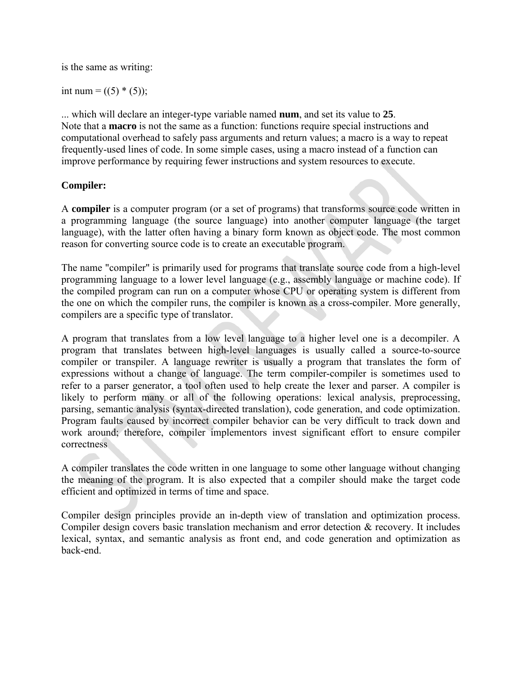is the same as writing:

int num =  $((5) * (5))$ ;

... which will declare an [integer-](http://www.computerhope.com/jargon/i/integer.htm)type [variable](http://www.computerhope.com/jargon/v/variable.htm) named **num**, and set its value to **25**. Note that a **macro** is not the same as a [function:](http://www.computerhope.com/jargon/f/function.htm) functions require special instructions and computational overhead to safely pass arguments and return values; a macro is a way to repeat frequently-used lines of code. In some simple cases, using a macro instead of a function can improve performance by requiring fewer instructions and system resources to execute.

## **Compiler:**

A **compiler** is a [computer program](https://en.wikipedia.org/wiki/Computer_program) (or a set of programs) that transforms [source code](https://en.wikipedia.org/wiki/Source_code) written in a [programming language](https://en.wikipedia.org/wiki/Programming_language) (the source language) into another computer language (the target language), with the latter often having a binary form known as [object code.](https://en.wikipedia.org/wiki/Object_code) The most common reason for converting source code is to create an [executable program.](https://en.wikipedia.org/wiki/Executable_program)

The name "compiler" is primarily used for programs that translate source code from a [high-level](https://en.wikipedia.org/wiki/High-level_programming_language)  [programming language](https://en.wikipedia.org/wiki/High-level_programming_language) to a [lower level language](https://en.wikipedia.org/wiki/Lower_level_language) (e.g., [assembly language](https://en.wikipedia.org/wiki/Assembly_language) or [machine code\)](https://en.wikipedia.org/wiki/Machine_code). If the compiled program can run on a computer whose [CPU](https://en.wikipedia.org/wiki/CPU) or [operating system](https://en.wikipedia.org/wiki/Operating_system) is different from the one on which the compiler runs, the compiler is known as a [cross-compiler.](https://en.wikipedia.org/wiki/Cross-compiler) More generally, compilers are a specific type of [translator.](https://en.wikipedia.org/wiki/Translator_(computing))

A program that translates from a [low level language](https://en.wikipedia.org/wiki/Low_level_language) to a higher level one is a [decompiler.](https://en.wikipedia.org/wiki/Decompiler) A program that translates between high-level languages is usually called a [source-to-source](https://en.wikipedia.org/wiki/Source-to-source_compiler)  [compiler](https://en.wikipedia.org/wiki/Source-to-source_compiler) or transpiler. A language [rewriter](https://en.wikipedia.org/wiki/Rewriting) is usually a program that translates the form of expressions without a change of language. The term [compiler-compiler](https://en.wikipedia.org/wiki/Compiler-compiler) is sometimes used to refer to a [parser generator,](https://en.wikipedia.org/wiki/Parser_generator) a tool often used to help create the [lexer](https://en.wikipedia.org/wiki/Lexical_analysis) and [parser.](https://en.wikipedia.org/wiki/Parser) A compiler is likely to perform many or all of the following operations: [lexical analysis,](https://en.wikipedia.org/wiki/Lexical_analysis) [preprocessing,](https://en.wikipedia.org/wiki/Preprocessing) [parsing,](https://en.wikipedia.org/wiki/Parsing) [semantic analysis](https://en.wikipedia.org/wiki/Semantic_analysis_(compilers)) [\(syntax-directed translation\)](https://en.wikipedia.org/wiki/Syntax-directed_translation), [code generation,](https://en.wikipedia.org/wiki/Code_generation_(compiler)) and [code optimization.](https://en.wikipedia.org/wiki/Code_optimization) Program faults caused by incorrect compiler behavior can be very difficult to track down and work around; therefore, compiler implementors invest significant effort to ensure [compiler](https://en.wikipedia.org/wiki/Compiler_correctness)  [correctness](https://en.wikipedia.org/wiki/Compiler_correctness)

A compiler translates the code written in one language to some other language without changing the meaning of the program. It is also expected that a compiler should make the target code efficient and optimized in terms of time and space.

Compiler design principles provide an in-depth view of translation and optimization process. Compiler design covers basic translation mechanism and error detection & recovery. It includes lexical, syntax, and semantic analysis as front end, and code generation and optimization as back-end.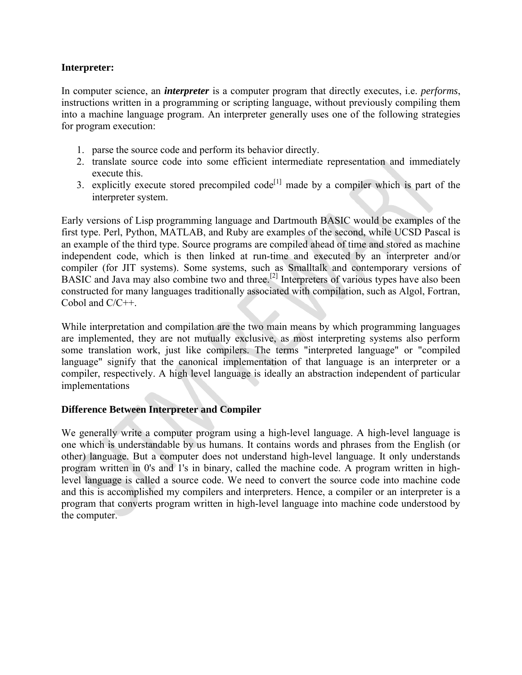#### **Interpreter:**

In [computer science,](https://en.wikipedia.org/wiki/Computer_science) an *interpreter* is a [computer program](https://en.wikipedia.org/wiki/Computer_program) that directly [executes,](https://en.wikipedia.org/wiki/Execution_(computers)) i.e. *performs*, instructions written in a [programming](https://en.wikipedia.org/wiki/Programming_language) or [scripting language,](https://en.wikipedia.org/wiki/Scripting_language) without previously [compiling](https://en.wikipedia.org/wiki/Compiler) them into a [machine language](https://en.wikipedia.org/wiki/Machine_language) program. An interpreter generally uses one of the following strategies for program execution:

- 1. [parse](https://en.wikipedia.org/wiki/Parse) the [source code](https://en.wikipedia.org/wiki/Source_code) and perform its behavior directly.
- 2. translate source code into some efficient [intermediate representation](https://en.wikipedia.org/wiki/Intermediate_representation) and immediately execute this.
- 3. explicitly execute stored precompiled  $code^{[1]}$  $code^{[1]}$  $code^{[1]}$  made by a [compiler](https://en.wikipedia.org/wiki/Compiler) which is part of the interpreter system.

Early versions of [Lisp programming language](https://en.wikipedia.org/wiki/Lisp_programming_language) and [Dartmouth BASIC](https://en.wikipedia.org/wiki/Dartmouth_BASIC) would be examples of the first type. [Perl,](https://en.wikipedia.org/wiki/Perl) [Python,](https://en.wikipedia.org/wiki/Python_(programming_language)) [MATLAB,](https://en.wikipedia.org/wiki/MATLAB) and [Ruby](https://en.wikipedia.org/wiki/Ruby_(programming_language)) are examples of the second, while [UCSD Pascal](https://en.wikipedia.org/wiki/UCSD_Pascal) is an example of the third type. Source programs are compiled ahead of time and stored as machine independent code, which is then [linked](https://en.wikipedia.org/wiki/Linker_(computing)) at run-time and executed by an interpreter and/or compiler (for [JIT](https://en.wikipedia.org/wiki/Just-in-time_compilation) systems). Some systems, such as [Smalltalk](https://en.wikipedia.org/wiki/Smalltalk) and contemporary versions of [BASIC](https://en.wikipedia.org/wiki/BASIC) and [Java](https://en.wikipedia.org/wiki/Java_(programming_language)) may also combine two and three.<sup>[\[2\]](https://en.wikipedia.org/wiki/Interpreter_(computing)#cite_note-2)</sup> Interpreters of various types have also been constructed for many languages traditionally associated with compilation, such as Algol, Fortran, Cobol and C/C++.

While interpretation and compilation are the two main means by which programming languages are implemented, they are not mutually exclusive, as most interpreting systems also perform some translation work, just like compilers. The terms ["interpreted language"](https://en.wikipedia.org/wiki/Interpreted_language) or ["compiled](https://en.wikipedia.org/wiki/Compiled_language)  [language"](https://en.wikipedia.org/wiki/Compiled_language) signify that the canonical implementation of that language is an interpreter or a compiler, respectively. A [high level language](https://en.wikipedia.org/wiki/High-level_programming_language) is ideally an [abstraction](https://en.wikipedia.org/wiki/Abstraction) independent of particular implementations

## **Difference Between Interpreter and Compiler**

We generally write a computer program using a high-level language. A high-level language is one which is understandable by us humans. It contains words and phrases from the English (or other) language. But a computer does not understand high-level language. It only understands program written in 0's and 1's in binary, called the machine code. A program written in highlevel language is called a source code. We need to convert the source code into machine code and this is accomplished my compilers and interpreters. Hence, a compiler or an interpreter is a program that converts program written in high-level language into machine code understood by the computer.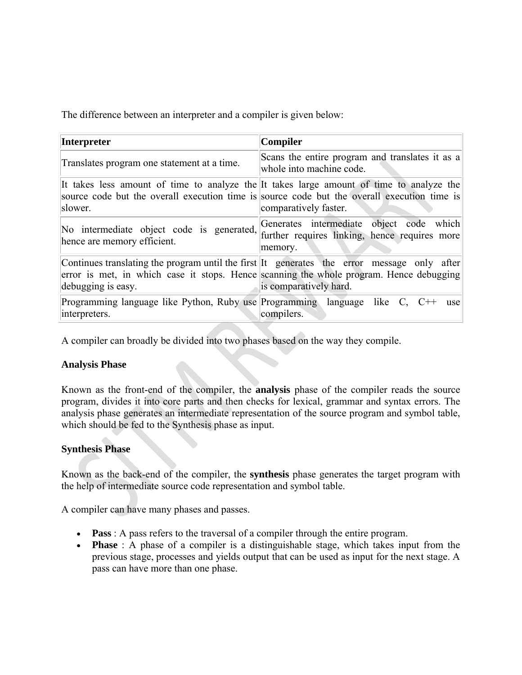The difference between an interpreter and a compiler is given below:

| <b>Interpreter</b>                                                                       | Compiler                                                                                                                                                                                                         |
|------------------------------------------------------------------------------------------|------------------------------------------------------------------------------------------------------------------------------------------------------------------------------------------------------------------|
| Translates program one statement at a time.                                              | Scans the entire program and translates it as a<br>whole into machine code.                                                                                                                                      |
| slower.                                                                                  | It takes less amount of time to analyze the It takes large amount of time to analyze the<br>source code but the overall execution time is source code but the overall execution time is<br>comparatively faster. |
| No intermediate object code is generated,<br>hence are memory efficient.                 | Generates intermediate object code which<br>further requires linking, hence requires more<br>memory.                                                                                                             |
| debugging is easy.                                                                       | Continues translating the program until the first It generates the error message only after<br>error is met, in which case it stops. Hence scanning the whole program. Hence debugging<br>is comparatively hard. |
| Programming language like Python, Ruby use Programming language like C,<br>interpreters. | use<br>compilers.                                                                                                                                                                                                |

A compiler can broadly be divided into two phases based on the way they compile.

## **Analysis Phase**

Known as the front-end of the compiler, the **analysis** phase of the compiler reads the source program, divides it into core parts and then checks for lexical, grammar and syntax errors. The analysis phase generates an intermediate representation of the source program and symbol table, which should be fed to the Synthesis phase as input.

## **Synthesis Phase**

Known as the back-end of the compiler, the **synthesis** phase generates the target program with the help of intermediate source code representation and symbol table.

A compiler can have many phases and passes.

- **Pass** : A pass refers to the traversal of a compiler through the entire program.
- **Phase** : A phase of a compiler is a distinguishable stage, which takes input from the previous stage, processes and yields output that can be used as input for the next stage. A pass can have more than one phase.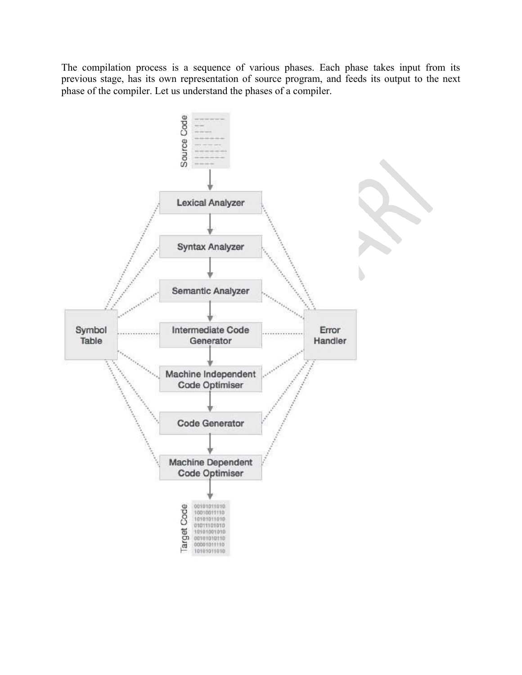The compilation process is a sequence of various phases. Each phase takes input from its previous stage, has its own representation of source program, and feeds its output to the next phase of the compiler. Let us understand the phases of a compiler.

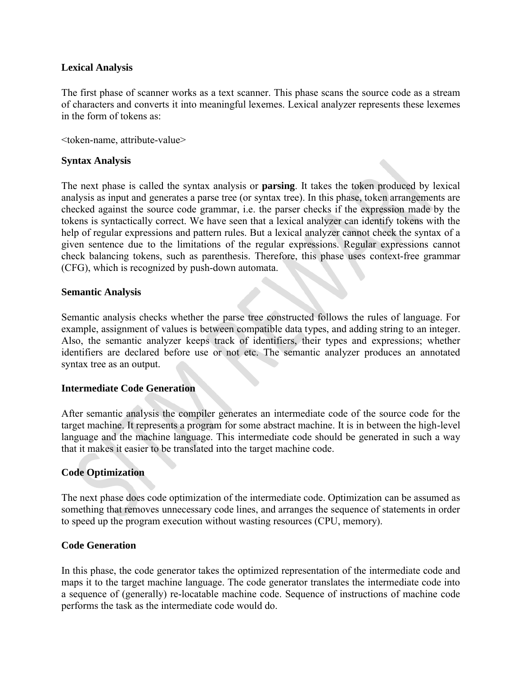## **Lexical Analysis**

The first phase of scanner works as a text scanner. This phase scans the source code as a stream of characters and converts it into meaningful lexemes. Lexical analyzer represents these lexemes in the form of tokens as:

<token-name, attribute-value>

#### **Syntax Analysis**

The next phase is called the syntax analysis or **parsing**. It takes the token produced by lexical analysis as input and generates a parse tree (or syntax tree). In this phase, token arrangements are checked against the source code grammar, i.e. the parser checks if the expression made by the tokens is syntactically correct. We have seen that a lexical analyzer can identify tokens with the help of regular expressions and pattern rules. But a lexical analyzer cannot check the syntax of a given sentence due to the limitations of the regular expressions. Regular expressions cannot check balancing tokens, such as parenthesis. Therefore, this phase uses context-free grammar (CFG), which is recognized by push-down automata.

#### **Semantic Analysis**

Semantic analysis checks whether the parse tree constructed follows the rules of language. For example, assignment of values is between compatible data types, and adding string to an integer. Also, the semantic analyzer keeps track of identifiers, their types and expressions; whether identifiers are declared before use or not etc. The semantic analyzer produces an annotated syntax tree as an output.

#### **Intermediate Code Generation**

After semantic analysis the compiler generates an intermediate code of the source code for the target machine. It represents a program for some abstract machine. It is in between the high-level language and the machine language. This intermediate code should be generated in such a way that it makes it easier to be translated into the target machine code.

#### **Code Optimization**

The next phase does code optimization of the intermediate code. Optimization can be assumed as something that removes unnecessary code lines, and arranges the sequence of statements in order to speed up the program execution without wasting resources (CPU, memory).

#### **Code Generation**

In this phase, the code generator takes the optimized representation of the intermediate code and maps it to the target machine language. The code generator translates the intermediate code into a sequence of (generally) re-locatable machine code. Sequence of instructions of machine code performs the task as the intermediate code would do.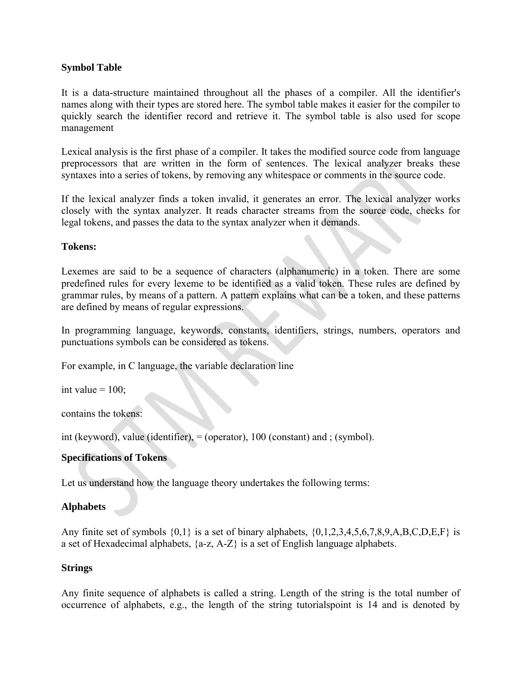## **Symbol Table**

It is a data-structure maintained throughout all the phases of a compiler. All the identifier's names along with their types are stored here. The symbol table makes it easier for the compiler to quickly search the identifier record and retrieve it. The symbol table is also used for scope management

Lexical analysis is the first phase of a compiler. It takes the modified source code from language preprocessors that are written in the form of sentences. The lexical analyzer breaks these syntaxes into a series of tokens, by removing any whitespace or comments in the source code.

If the lexical analyzer finds a token invalid, it generates an error. The lexical analyzer works closely with the syntax analyzer. It reads character streams from the source code, checks for legal tokens, and passes the data to the syntax analyzer when it demands.

**Tokens:**

Lexemes are said to be a sequence of characters (alphanumeric) in a token. There are some predefined rules for every lexeme to be identified as a valid token. These rules are defined by grammar rules, by means of a pattern. A pattern explains what can be a token, and these patterns are defined by means of regular expressions.

In programming language, keywords, constants, identifiers, strings, numbers, operators and punctuations symbols can be considered as tokens.

For example, in C language, the variable declaration line

int value  $= 100$ ;

contains the tokens:

int (keyword), value (identifier), = (operator), 100 (constant) and ; (symbol).

#### **Specifications of Tokens**

Let us understand how the language theory undertakes the following terms:

#### **Alphabets**

Any finite set of symbols  $\{0,1\}$  is a set of binary alphabets,  $\{0,1,2,3,4,5,6,7,8,9,A,B,C,D,E,F\}$  is a set of Hexadecimal alphabets, {a-z, A-Z} is a set of English language alphabets.

#### **Strings**

Any finite sequence of alphabets is called a string. Length of the string is the total number of occurrence of alphabets, e.g., the length of the string tutorialspoint is 14 and is denoted by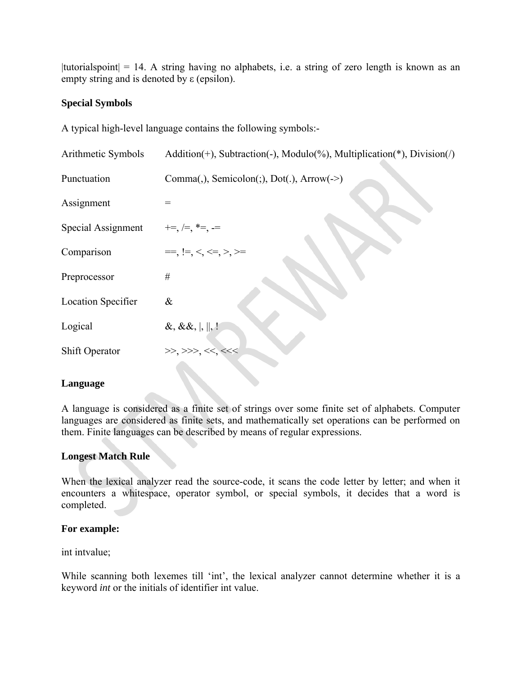|tutorialspoint|  $= 14$ . A string having no alphabets, i.e. a string of zero length is known as an empty string and is denoted by ε (epsilon).

## **Special Symbols**

A typical high-level language contains the following symbols:-

| Arithmetic Symbols        | Addition(+), Subtraction(-), Modulo(%), Multiplication(*), Division(/) |
|---------------------------|------------------------------------------------------------------------|
| Punctuation               | Comma(,), Semicolon(;), Dot(.), Arrow(->)                              |
| Assignment                |                                                                        |
| Special Assignment        | $+=,  =, *=, ==$                                                       |
| Comparison                | $==, !=, <, <=, >, >=$                                                 |
| Preprocessor              | $\#$                                                                   |
| <b>Location Specifier</b> | $\&$                                                                   |
| Logical                   | $\&$ , $\&$ , $\ $ , $\ $ , $\ $                                       |
| Shift Operator            | >>, >>, <<, <<                                                         |
|                           |                                                                        |

## **Language**

A language is considered as a finite set of strings over some finite set of alphabets. Computer languages are considered as finite sets, and mathematically set operations can be performed on them. Finite languages can be described by means of regular expressions.

## **Longest Match Rule**

When the lexical analyzer read the source-code, it scans the code letter by letter; and when it encounters a whitespace, operator symbol, or special symbols, it decides that a word is completed.

## **For example:**

int intvalue;

While scanning both lexemes till 'int', the lexical analyzer cannot determine whether it is a keyword *int* or the initials of identifier int value.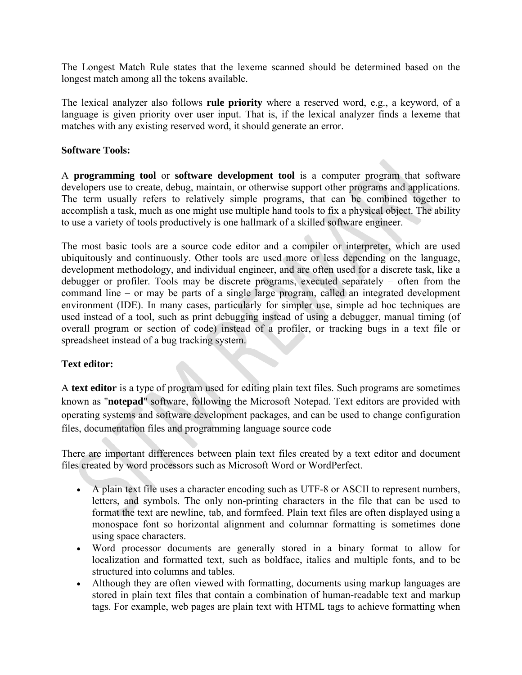The Longest Match Rule states that the lexeme scanned should be determined based on the longest match among all the tokens available.

The lexical analyzer also follows **rule priority** where a reserved word, e.g., a keyword, of a language is given priority over user input. That is, if the lexical analyzer finds a lexeme that matches with any existing reserved word, it should generate an error.

## **Software Tools:**

A **programming tool** or **software development tool** is a [computer program](https://en.wikipedia.org/wiki/Computer_program) that [software](https://en.wikipedia.org/wiki/Software_developer)  [developers](https://en.wikipedia.org/wiki/Software_developer) use to create, debug, maintain, or otherwise support other programs and applications. The term usually refers to relatively simple programs, that can be combined together to accomplish a task, much as one might use multiple hand [tools](https://en.wikipedia.org/wiki/Tool) to fix a physical object. The ability to use a variety of tools productively is one hallmark of a skilled [software engineer.](https://en.wikipedia.org/wiki/Software_engineer)

The most basic tools are a [source code editor](https://en.wikipedia.org/wiki/Source_code_editor) and a [compiler](https://en.wikipedia.org/wiki/Compiler) or [interpreter,](https://en.wikipedia.org/wiki/Interpreter_(computing)) which are used ubiquitously and continuously. Other tools are used more or less depending on the language, development methodology, and individual engineer, and are often used for a discrete task, like a [debugger](https://en.wikipedia.org/wiki/Debugger) or [profiler.](https://en.wikipedia.org/wiki/Profiling_(computer_programming)) Tools may be discrete programs, executed separately – often from the [command line](https://en.wikipedia.org/wiki/Command_line) – or may be parts of a single large program, called an [integrated development](https://en.wikipedia.org/wiki/Integrated_development_environment)  [environment](https://en.wikipedia.org/wiki/Integrated_development_environment) (IDE). In many cases, particularly for simpler use, simple ad hoc techniques are used instead of a tool, such as [print debugging](https://en.wikipedia.org/wiki/Print_debugging) instead of using a debugger, manual timing (of overall program or section of code) instead of a profiler, or tracking bugs in a text file or spreadsheet instead of a [bug tracking system.](https://en.wikipedia.org/wiki/Bug_tracking_system)

## **Text editor:**

A **text editor** is a type of [program](https://en.wikipedia.org/wiki/Software_application) used for editing plain [text files.](https://en.wikipedia.org/wiki/Text_file) Such programs are sometimes known as "**notepad**" software, following the [Microsoft Notepad.](https://en.wikipedia.org/wiki/Microsoft_Notepad) Text editors are provided with [operating systems](https://en.wikipedia.org/wiki/Operating_system) and software development packages, and can be used to change [configuration](https://en.wikipedia.org/wiki/Configuration_file)  [files,](https://en.wikipedia.org/wiki/Configuration_file) documentation files and [programming language](https://en.wikipedia.org/wiki/Programming_language) [source code](https://en.wikipedia.org/wiki/Source_code)

There are important differences between [plain text](https://en.wikipedia.org/wiki/Plain_text) files created by a text editor and [document](https://en.wikipedia.org/wiki/Document) files created by [word processors](https://en.wikipedia.org/wiki/Word_processor) such as [Microsoft Word](https://en.wikipedia.org/wiki/Microsoft_Word) or [WordPerfect.](https://en.wikipedia.org/wiki/WordPerfect)

- A plain text file uses a [character encoding](https://en.wikipedia.org/wiki/Character_encoding) such as [UTF-8](https://en.wikipedia.org/wiki/UTF-8) or [ASCII](https://en.wikipedia.org/wiki/ASCII) to represent numbers, letters, and symbols. The only [non-printing characters](https://en.wikipedia.org/wiki/Whitespace_character) in the file that can be used to format the text are newline, tab, and [formfeed.](https://en.wikipedia.org/wiki/Page_break) Plain text files are often displayed using a [monospace font](https://en.wikipedia.org/wiki/Monospace_font) so horizontal alignment and columnar formatting is sometimes done using space characters.
- ∑ Word processor documents are generally stored in a [binary format](https://en.wikipedia.org/wiki/Binary_format) to allow for localization and [formatted text,](https://en.wikipedia.org/wiki/Formatted_text) such as boldface, italics and multiple [fonts,](https://en.wikipedia.org/wiki/Fonts) and to be structured into columns and tables.
- Although they are often viewed with formatting, documents using [markup languages](https://en.wikipedia.org/wiki/Markup_language) are stored in plain text files that contain a combination of human-readable text and markup tags. For example, web pages are plain text with [HTML](https://en.wikipedia.org/wiki/HTML) tags to achieve formatting when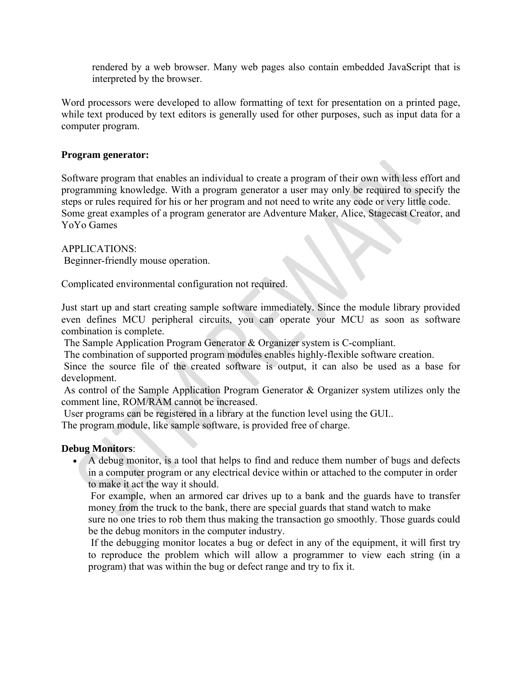rendered by a [web browser.](https://en.wikipedia.org/wiki/Web_browser) Many web pages also contain embedded [JavaScript](https://en.wikipedia.org/wiki/JavaScript) that is interpreted by the browser.

Word processors were developed to allow formatting of text for presentation on a printed page, while text produced by text editors is generally used for other purposes, such as input data for a computer program.

## **Program generator:**

[Software](http://www.computerhope.com/jargon/s/software.htm) program that enables an individual to create a program of their own with less effort and programming knowledge. With a program generator a user may only be required to specify the steps or rules required for his or her program and not need to write any code or very little code. Some great examples of a program generator are [Adventure Maker,](http://www.adventuremaker.com/) [Alice,](http://www.alice.org/) [Stagecast Creator,](http://www.stagecast.com/) and [YoYo Games](http://www.yoyogames.com/)

APPLICATIONS: Beginner-friendly mouse operation.

Complicated environmental configuration not required.

Just start up and start creating sample software immediately. Since the module library provided even defines MCU peripheral circuits, you can operate your MCU as soon as software combination is complete.

The Sample Application Program Generator & Organizer system is C-compliant.

The combination of supported program modules enables highly-flexible software creation.

Since the source file of the created software is output, it can also be used as a base for development.

As control of the Sample Application Program Generator & Organizer system utilizes only the comment line, ROM/RAM cannot be increased.

User programs can be registered in a library at the function level using the GUI..

The program module, like sample software, is provided free of charge.

## **Debug Monitors**:

■ A debug monitor, is a tool that helps to find and reduce them number of bugs and defects in a computer program or any electrical device within or attached to the computer in order to make it act the way it should.

For example, when an armored car drives up to a bank and the guards have to transfer money from the truck to the bank, there are special guards that stand watch to make

sure no one tries to rob them thus making the transaction go smoothly. Those guards could be the debug monitors in the computer industry.

If the debugging monitor locates a bug or defect in any of the equipment, it will first try to reproduce the problem which will allow a programmer to view each string (in a program) that was within the bug or defect range and try to fix it.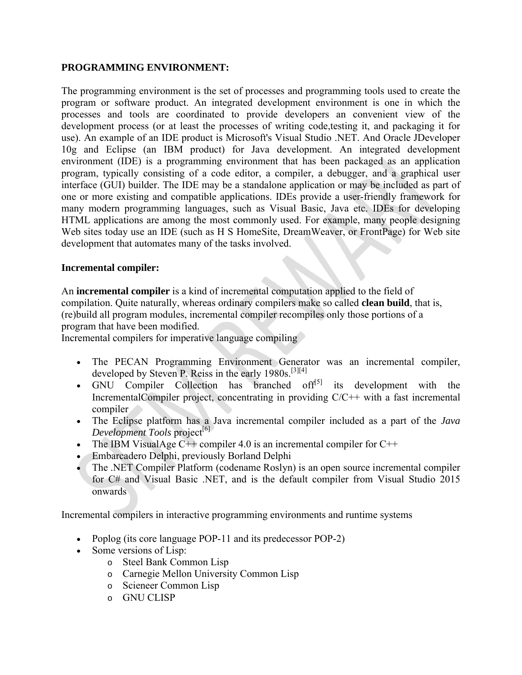## **PROGRAMMING ENVIRONMENT:**

The programming environment is the set of processes and programming tools used to create the program or software product. An integrated development environment is one in which the processes and tools are coordinated to provide developers an convenient view of the development process (or at least the processes of writing code,testing it, and packaging it for use). An example of an IDE product is Microsoft's Visual Studio .NET. And Oracle JDeveloper 10g and Eclipse (an IBM product) for Java development. An integrated development environment (IDE) is a programming environment that has been packaged as an application program, typically consisting of a code editor, a compiler, a debugger, and a graphical user interface (GUI) builder. The IDE may be a standalone application or may be included as part of one or more existing and compatible applications. IDEs provide a user-friendly framework for many modern programming languages, such as Visual Basic, Java etc. IDEs for developing HTML applications are among the most commonly used. For example, many people designing Web sites today use an IDE (such as H S HomeSite, DreamWeaver, or FrontPage) for Web site development that automates many of the tasks involved.

#### **Incremental compiler:**

An **incremental compiler** is a kind of [incremental computation](https://en.wikipedia.org/wiki/Incremental_computation) applied to the field of [compilation.](https://en.wikipedia.org/wiki/Compiler) Quite naturally, whereas ordinary compilers make so called **clean build**, that is, (re)build all program modules, incremental compiler recompiles only those portions of a program that have been modified.

Incremental compilers for imperative language compiling

- The PECAN Programming Environment Generator was an incremental compiler, developed by Steven P. Reiss in the early 1980s.<sup>[\[3\]\[4\]](https://en.wikipedia.org/wiki/Incremental_compiler#cite_note-3)</sup>
- [GNU Compiler Collection](https://en.wikipedia.org/wiki/GNU_Compiler_Collection) has branched off $[5]$  its development with the [IncrementalCompiler](https://gcc.gnu.org/wiki/IncrementalCompiler) project, concentrating in providing [C/](https://en.wikipedia.org/wiki/C_(programming_language))[C++](https://en.wikipedia.org/wiki/C%2B%2B) with a fast incremental compiler
- The [Eclipse](https://en.wikipedia.org/wiki/Eclipse_(software)) [platform](https://en.wikipedia.org/wiki/Software_development_platform) has a [Java](https://en.wikipedia.org/wiki/Java_(programming_language)) incremental compiler included as a part of the *Java Development Tools* project<sup>[6]</sup>
- The [IBM VisualAge](https://en.wikipedia.org/wiki/IBM_VisualAge)  $C++$  compiler 4.0 is an incremental compiler for  $C++$
- [Embarcadero Delphi,](https://en.wikipedia.org/wiki/Embarcadero_Delphi) previously Borland Delphi
- ∑ The [.NET Compiler Platform](https://en.wikipedia.org/wiki/.NET_Compiler_Platform) (codename Roslyn) is an open source incremental compiler for [C#](https://en.wikipedia.org/wiki/C_Sharp_(programming_language)) and [Visual Basic .NET,](https://en.wikipedia.org/wiki/Visual_Basic_.NET) and is the default compiler from [Visual Studio](https://en.wikipedia.org/wiki/Visual_Studio) 2015 onwards

Incremental compilers in interactive programming environments and runtime systems

- [Poplog](https://en.wikipedia.org/wiki/Poplog) (its core language [POP-11](https://en.wikipedia.org/wiki/POP-11) and its predecessor [POP-2\)](https://en.wikipedia.org/wiki/POP-2)
- Some versions of [Lisp:](https://en.wikipedia.org/wiki/Lisp_(programming_language))
	- o [Steel Bank Common Lisp](https://en.wikipedia.org/wiki/Steel_Bank_Common_Lisp)
	- o [Carnegie Mellon University Common Lisp](https://en.wikipedia.org/wiki/Carnegie_Mellon_University_Common_Lisp)
	- o [Scieneer Common Lisp](https://en.wikipedia.org/w/index.php?title=Scieneer_Common_Lisp&action=edit&redlink=1)
	- o GNU [CLISP](https://en.wikipedia.org/wiki/CLISP)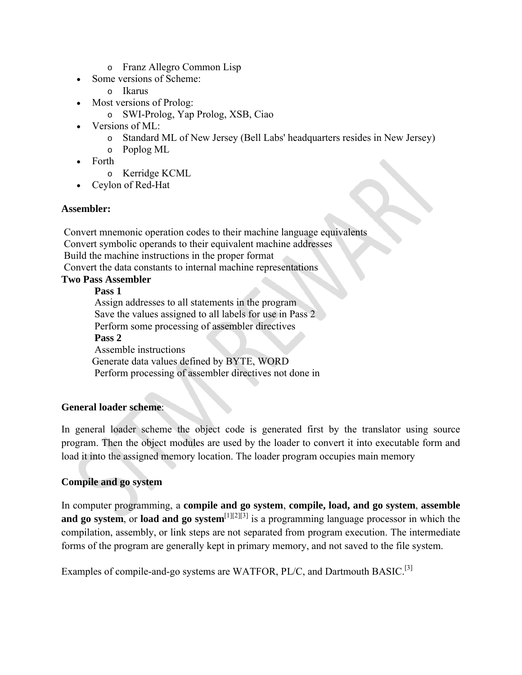- o [Franz Allegro Common Lisp](https://en.wikipedia.org/wiki/Franz_Allegro_Common_Lisp)
- Some versions of [Scheme:](https://en.wikipedia.org/wiki/Scheme_(programming_language))
	- o [Ikarus](https://en.wikipedia.org/wiki/Ikarus_(Scheme_implementation))
- Most versions of [Prolog:](https://en.wikipedia.org/wiki/Prolog)
	- o [SWI-Prolog,](https://en.wikipedia.org/wiki/SWI-Prolog) [Yap Prolog,](https://en.wikipedia.org/w/index.php?title=Yap_Prolog&action=edit&redlink=1) [XSB,](https://en.wikipedia.org/wiki/XSB) [Ciao](https://en.wikipedia.org/wiki/Ciao_(programming_language))
- Versions of [ML:](https://en.wikipedia.org/wiki/ML_(programming_language))
	- o [Standard ML of New Jersey](https://en.wikipedia.org/wiki/Standard_ML_of_New_Jersey) [\(Bell Labs'](https://en.wikipedia.org/wiki/Bell_Labs) headquarters resides in [New Jersey\)](https://en.wikipedia.org/wiki/New_Jersey)
	- o [Poplog](https://en.wikipedia.org/wiki/Poplog) ML
- ∑ [Forth](https://en.wikipedia.org/wiki/Forth_(programming_language))
	- o [Kerridge KCML](https://en.wikipedia.org/w/index.php?title=Kerridge_KCML&action=edit&redlink=1)
- ∑ [Ceylon](https://en.wikipedia.org/wiki/Ceylon_(programming_language)) of Red-Hat

## **Assembler:**

Convert mnemonic operation codes to their machine language equivalents Convert symbolic operands to their equivalent machine addresses Build the machine instructions in the proper format Convert the data constants to internal machine representations

# **Two Pass Assembler**

**Pass 1**

Assign addresses to all statements in the program Save the values assigned to all labels for use in Pass 2 Perform some processing of assembler directives **Pass 2** Assemble instructions Generate data values defined by BYTE, WORD Perform processing of assembler directives not done in

## **General loader scheme**:

In general loader scheme the object code is generated first by the translator using source program. Then the object modules are used by the loader to convert it into executable form and load it into the assigned memory location. The loader program occupies main memory

## **Compile and go system**

In computer programming, a **compile and go system**, **compile, load, and go system**, **assemble**  and go system, or **load and go system**<sup>[\[1\]\[2\]](https://en.wikipedia.org/wiki/Compile_and_go_system#cite_note-FOOTNOTEWeik2000a66-1)[\[3\]](https://en.wikipedia.org/wiki/Compile_and_go_system#cite_note-FOOTNOTEDhotrePuntambekar20083.E2.80.942-3)</sup> is a programming language processor in which the [compilation,](https://en.wikipedia.org/wiki/Compiler) [assembly,](https://en.wikipedia.org/wiki/Assembler_(computer_programming)) or [link](https://en.wikipedia.org/wiki/Linker_(computing)) steps are not separated from [program execution.](https://en.wikipedia.org/wiki/Execution_(computing)) The intermediate forms of the program are generally kept in [primary memory,](https://en.wikipedia.org/wiki/Primary_memory) and not saved to the [file system.](https://en.wikipedia.org/wiki/File_system)

Examples of compile-and-go systems are [WATFOR,](https://en.wikipedia.org/wiki/WATFOR) [PL/C,](https://en.wikipedia.org/wiki/PL/C) and [Dartmouth BASIC.](https://en.wikipedia.org/wiki/Dartmouth_BASIC)<sup>[\[3\]](https://en.wikipedia.org/wiki/Compile_and_go_system#cite_note-FOOTNOTEDhotrePuntambekar20083.E2.80.942-3)</sup>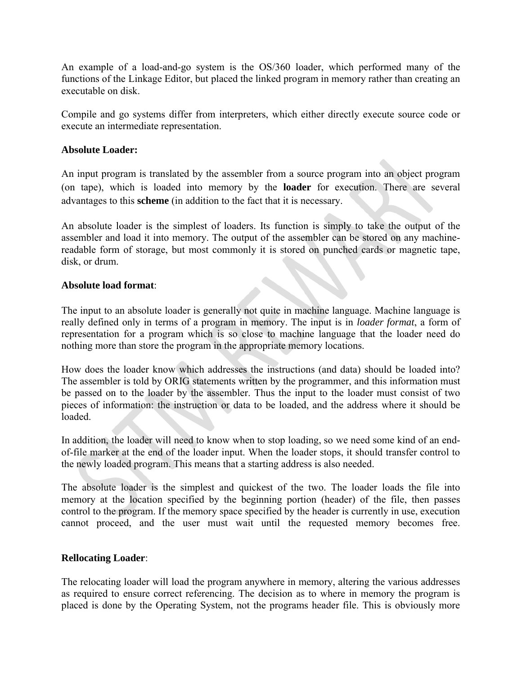An example of a load-and-go system is the [OS/360](https://en.wikipedia.org/wiki/OS/360_and_successors) loader, which performed many of the functions of the [Linkage Editor,](https://en.wikipedia.org/wiki/Linker_(computing)) but placed the linked program in memory rather than creating an executable on disk.

Compile and go systems differ from [interpreters,](https://en.wikipedia.org/wiki/Interpreter_(computing)) which either directly execute [source code](https://en.wikipedia.org/wiki/Source_code) or execute an [intermediate representation.](https://en.wikipedia.org/wiki/Intermediate_representation)

## **Absolute Loader:**

An input program is translated by the assembler from a source program into an object program (on tape), which is loaded into memory by the **loader** for execution. There are several advantages to this **scheme** (in addition to the fact that it is necessary.

An absolute loader is the simplest of loaders. Its function is simply to take the output of the assembler and load it into memory. The output of the assembler can be stored on any machinereadable form of storage, but most commonly it is stored on punched cards or magnetic tape, disk, or drum.

#### **Absolute load format**:

The input to an absolute loader is generally not quite in machine language. Machine language is really defined only in terms of a program in memory. The input is in *loader format*, a form of representation for a program which is so close to machine language that the loader need do nothing more than store the program in the appropriate memory locations.

How does the loader know which addresses the instructions (and data) should be loaded into? The assembler is told by ORIG statements written by the programmer, and this information must be passed on to the loader by the assembler. Thus the input to the loader must consist of two pieces of information: the instruction or data to be loaded, and the address where it should be loaded.

In addition, the loader will need to know when to stop loading, so we need some kind of an endof-file marker at the end of the loader input. When the loader stops, it should transfer control to the newly loaded program. This means that a starting address is also needed.

The absolute loader is the simplest and quickest of the two. The loader loads the file into memory at the location specified by the beginning portion (header) of the file, then passes control to the program. If the memory space specified by the header is currently in use, execution cannot proceed, and the user must wait until the requested memory becomes free.

#### **Rellocating Loader**:

The relocating loader will load the program anywhere in memory, altering the various addresses as required to ensure correct referencing. The decision as to where in memory the program is placed is done by the Operating System, not the programs header file. This is obviously more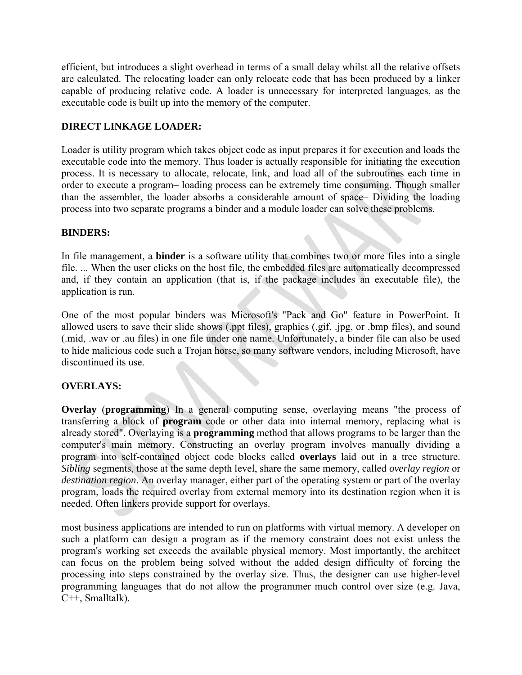efficient, but introduces a slight overhead in terms of a small delay whilst all the relative offsets are calculated. The relocating loader can only relocate code that has been produced by a linker capable of producing relative code. A loader is unnecessary for interpreted languages, as the executable code is built up into the memory of the computer.

## **DIRECT LINKAGE LOADER:**

Loader is utility program which takes object code as input prepares it for execution and loads the executable code into the memory. Thus loader is actually responsible for initiating the execution process. It is necessary to allocate, relocate, link, and load all of the subroutines each time in order to execute a program– loading process can be extremely time consuming. Though smaller than the assembler, the loader absorbs a considerable amount of space– Dividing the loading process into two separate programs a binder and a module loader can solve these problems.

## **BINDERS:**

In file management, a **binder** is a software utility that combines two or more files into a single file. ... When the user clicks on the host file, the embedded files are automatically decompressed and, if they contain an application (that is, if the package includes an executable file), the application is run.

One of the most popular binders was Microsoft's "Pack and Go" feature in [PowerPoint.](http://whatis.techtarget.com/definition/presentation-software-presentation-graphics) It allowed users to save their slide shows (.ppt files), graphics (.gif, .jpg, or .bmp files), and sound (.mid, .wav or .au files) in one file under one name. Unfortunately, a binder file can also be used to hide malicious code such a [Trojan horse,](http://searchsecurity.techtarget.com/definition/Trojan-horse) so many software vendors, including Microsoft, have discontinued its use.

## **OVERLAYS:**

**Overlay** (**programming**) In a general computing sense, overlaying means "the process of transferring a block of **program** code or other data into internal memory, replacing what is already stored". Overlaying is a **programming** method that allows programs to be larger than the computer's main memory. Constructing an overlay program involves manually dividing a program into self-contained [object code](https://en.wikipedia.org/wiki/Object_code) blocks called **overlays** laid out in a [tree structure.](https://en.wikipedia.org/wiki/Tree_structure) *Sibling* segments, those at the same depth level, share the same memory, called *overlay region* or *destination region*. An overlay manager, either part of the [operating system](https://en.wikipedia.org/wiki/Operating_system) or part of the overlay program, loads the required overlay from [external memory](https://en.wikipedia.org/wiki/Auxiliary_memory) into its destination region when it is needed. Often [linkers](https://en.wikipedia.org/wiki/Linker_%28computing%29) provide support for overlays.

most business applications are intended to run on platforms with [virtual memory.](https://en.wikipedia.org/wiki/Virtual_memory) A developer on such a platform can design a program as if the memory constraint does not exist unless the program's [working set](https://en.wikipedia.org/wiki/Working_set) exceeds the available physical memory. Most importantly, the architect can focus on the problem being solved without the added design difficulty of forcing the processing into steps constrained by the overlay size. Thus, the designer can use higher-level programming languages that do not allow the programmer much control over size (e.g. [Java,](https://en.wikipedia.org/wiki/Java_%28programming_language%29) [C++,](https://en.wikipedia.org/wiki/C%2B%2B) [Smalltalk\)](https://en.wikipedia.org/wiki/Smalltalk).